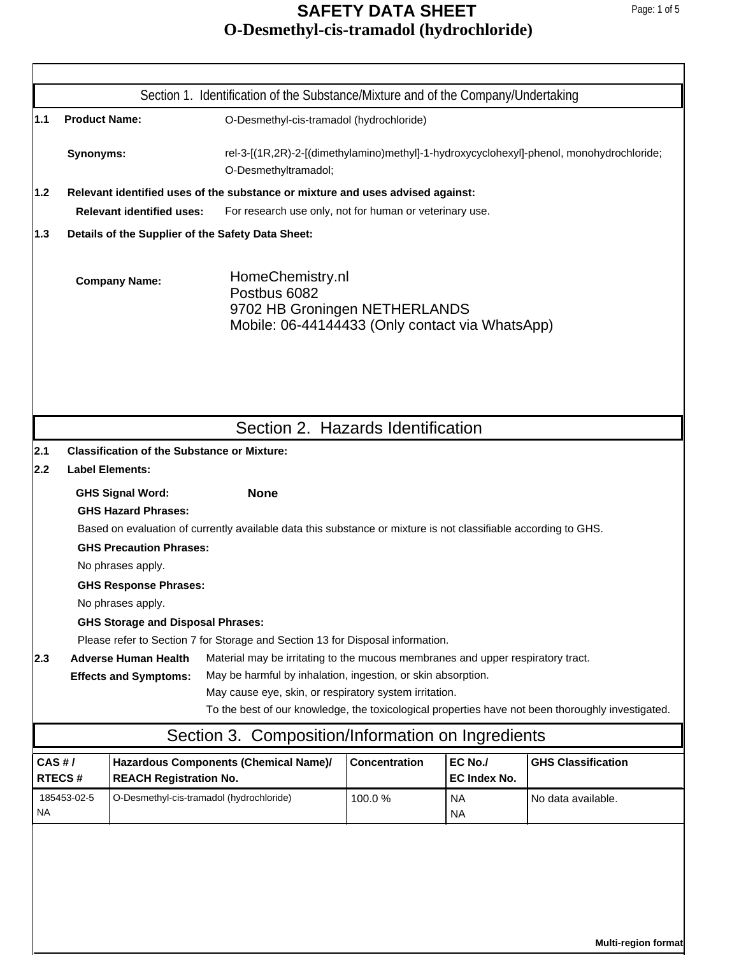|           |                      |                                                                                                                                                                                                               | Section 1. Identification of the Substance/Mixture and of the Company/Undertaking                                                                                                                                |                      |                         |                                                                                                   |  |  |
|-----------|----------------------|---------------------------------------------------------------------------------------------------------------------------------------------------------------------------------------------------------------|------------------------------------------------------------------------------------------------------------------------------------------------------------------------------------------------------------------|----------------------|-------------------------|---------------------------------------------------------------------------------------------------|--|--|
| 1.1       | <b>Product Name:</b> |                                                                                                                                                                                                               | O-Desmethyl-cis-tramadol (hydrochloride)                                                                                                                                                                         |                      |                         |                                                                                                   |  |  |
|           | Synonyms:            |                                                                                                                                                                                                               | O-Desmethyltramadol;                                                                                                                                                                                             |                      |                         | rel-3-[(1R,2R)-2-[(dimethylamino)methyl]-1-hydroxycyclohexyl]-phenol, monohydrochloride;          |  |  |
| 1.2       |                      |                                                                                                                                                                                                               | Relevant identified uses of the substance or mixture and uses advised against:                                                                                                                                   |                      |                         |                                                                                                   |  |  |
|           |                      | <b>Relevant identified uses:</b>                                                                                                                                                                              | For research use only, not for human or veterinary use.                                                                                                                                                          |                      |                         |                                                                                                   |  |  |
| 1.3       |                      | Details of the Supplier of the Safety Data Sheet:                                                                                                                                                             |                                                                                                                                                                                                                  |                      |                         |                                                                                                   |  |  |
|           |                      | <b>Company Name:</b>                                                                                                                                                                                          | HomeChemistry.nl<br>Postbus 6082<br>9702 HB Groningen NETHERLANDS<br>Mobile: 06-44144433 (Only contact via WhatsApp)                                                                                             |                      |                         |                                                                                                   |  |  |
|           |                      |                                                                                                                                                                                                               | Section 2. Hazards Identification                                                                                                                                                                                |                      |                         |                                                                                                   |  |  |
| 2.1       |                      | <b>Classification of the Substance or Mixture:</b>                                                                                                                                                            |                                                                                                                                                                                                                  |                      |                         |                                                                                                   |  |  |
| 2.2       |                      | <b>Label Elements:</b>                                                                                                                                                                                        |                                                                                                                                                                                                                  |                      |                         |                                                                                                   |  |  |
|           |                      | <b>GHS Signal Word:</b><br><b>GHS Hazard Phrases:</b><br><b>GHS Precaution Phrases:</b><br>No phrases apply.<br><b>GHS Response Phrases:</b><br>No phrases apply.<br><b>GHS Storage and Disposal Phrases:</b> | <b>None</b><br>Based on evaluation of currently available data this substance or mixture is not classifiable according to GHS.<br>Please refer to Section 7 for Storage and Section 13 for Disposal information. |                      |                         |                                                                                                   |  |  |
| 2.3       |                      | <b>Adverse Human Health</b><br><b>Effects and Symptoms:</b>                                                                                                                                                   | Material may be irritating to the mucous membranes and upper respiratory tract.<br>May be harmful by inhalation, ingestion, or skin absorption.<br>May cause eye, skin, or respiratory system irritation.        |                      |                         | To the best of our knowledge, the toxicological properties have not been thoroughly investigated. |  |  |
|           |                      |                                                                                                                                                                                                               | Section 3. Composition/Information on Ingredients                                                                                                                                                                |                      |                         |                                                                                                   |  |  |
| CAS H/    | <b>RTECS#</b>        | <b>REACH Registration No.</b>                                                                                                                                                                                 | Hazardous Components (Chemical Name)/                                                                                                                                                                            | <b>Concentration</b> | EC No./<br>EC Index No. | <b>GHS Classification</b>                                                                         |  |  |
| <b>NA</b> | 185453-02-5          | O-Desmethyl-cis-tramadol (hydrochloride)                                                                                                                                                                      |                                                                                                                                                                                                                  | 100.0%               | NA<br><b>NA</b>         | No data available.                                                                                |  |  |
|           |                      |                                                                                                                                                                                                               |                                                                                                                                                                                                                  |                      |                         |                                                                                                   |  |  |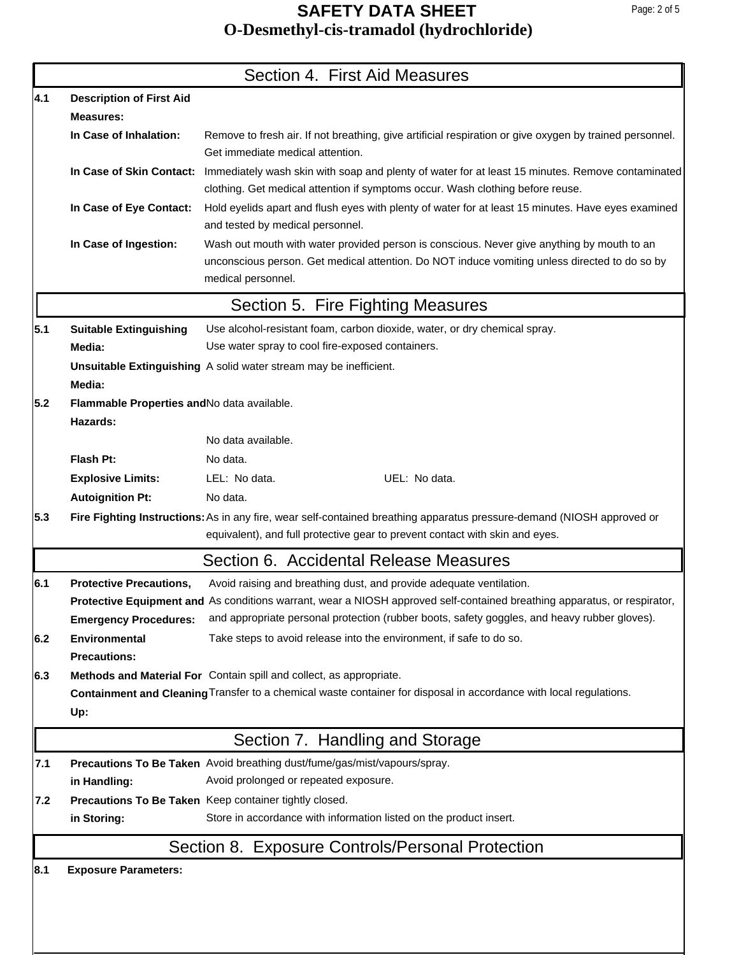|     |                                             | Section 4. First Aid Measures                                                                                                                                                                                            |
|-----|---------------------------------------------|--------------------------------------------------------------------------------------------------------------------------------------------------------------------------------------------------------------------------|
| 4.1 | <b>Description of First Aid</b>             |                                                                                                                                                                                                                          |
|     | <b>Measures:</b>                            |                                                                                                                                                                                                                          |
|     | In Case of Inhalation:                      | Remove to fresh air. If not breathing, give artificial respiration or give oxygen by trained personnel.<br>Get immediate medical attention.                                                                              |
|     |                                             | In Case of Skin Contact: Immediately wash skin with soap and plenty of water for at least 15 minutes. Remove contaminated<br>clothing. Get medical attention if symptoms occur. Wash clothing before reuse.              |
|     | In Case of Eye Contact:                     | Hold eyelids apart and flush eyes with plenty of water for at least 15 minutes. Have eyes examined<br>and tested by medical personnel.                                                                                   |
|     | In Case of Ingestion:                       | Wash out mouth with water provided person is conscious. Never give anything by mouth to an<br>unconscious person. Get medical attention. Do NOT induce vomiting unless directed to do so by<br>medical personnel.        |
|     |                                             | Section 5. Fire Fighting Measures                                                                                                                                                                                        |
| 5.1 | <b>Suitable Extinguishing</b>               | Use alcohol-resistant foam, carbon dioxide, water, or dry chemical spray.                                                                                                                                                |
|     | Media:                                      | Use water spray to cool fire-exposed containers.                                                                                                                                                                         |
|     | Media:                                      | Unsuitable Extinguishing A solid water stream may be inefficient.                                                                                                                                                        |
| 5.2 | Flammable Properties and No data available. |                                                                                                                                                                                                                          |
|     | Hazards:                                    |                                                                                                                                                                                                                          |
|     |                                             | No data available.                                                                                                                                                                                                       |
|     | Flash Pt:                                   | No data.                                                                                                                                                                                                                 |
|     | <b>Explosive Limits:</b>                    | UEL: No data.<br>LEL: No data.                                                                                                                                                                                           |
|     | <b>Autoignition Pt:</b>                     | No data.                                                                                                                                                                                                                 |
| 5.3 |                                             | Fire Fighting Instructions: As in any fire, wear self-contained breathing apparatus pressure-demand (NIOSH approved or                                                                                                   |
|     |                                             | equivalent), and full protective gear to prevent contact with skin and eyes.                                                                                                                                             |
|     |                                             | Section 6. Accidental Release Measures                                                                                                                                                                                   |
| 6.1 | <b>Protective Precautions,</b>              | Avoid raising and breathing dust, and provide adequate ventilation.                                                                                                                                                      |
|     | <b>Emergency Procedures:</b>                | Protective Equipment and As conditions warrant, wear a NIOSH approved self-contained breathing apparatus, or respirator,<br>and appropriate personal protection (rubber boots, safety goggles, and heavy rubber gloves). |
| 6.2 | <b>Environmental</b><br><b>Precautions:</b> | Take steps to avoid release into the environment, if safe to do so.                                                                                                                                                      |
| 6.3 |                                             | Methods and Material For Contain spill and collect, as appropriate.                                                                                                                                                      |
|     |                                             | Containment and Cleaning Transfer to a chemical waste container for disposal in accordance with local regulations.                                                                                                       |
|     | Up:                                         |                                                                                                                                                                                                                          |
|     |                                             | Section 7. Handling and Storage                                                                                                                                                                                          |
| 7.1 |                                             | Precautions To Be Taken Avoid breathing dust/fume/gas/mist/vapours/spray.                                                                                                                                                |
|     | in Handling:                                | Avoid prolonged or repeated exposure.                                                                                                                                                                                    |
| 7.2 |                                             | Precautions To Be Taken Keep container tightly closed.                                                                                                                                                                   |
|     | in Storing:                                 | Store in accordance with information listed on the product insert.                                                                                                                                                       |
|     |                                             | Section 8. Exposure Controls/Personal Protection                                                                                                                                                                         |
| 8.1 | <b>Exposure Parameters:</b>                 |                                                                                                                                                                                                                          |
|     |                                             |                                                                                                                                                                                                                          |
|     |                                             |                                                                                                                                                                                                                          |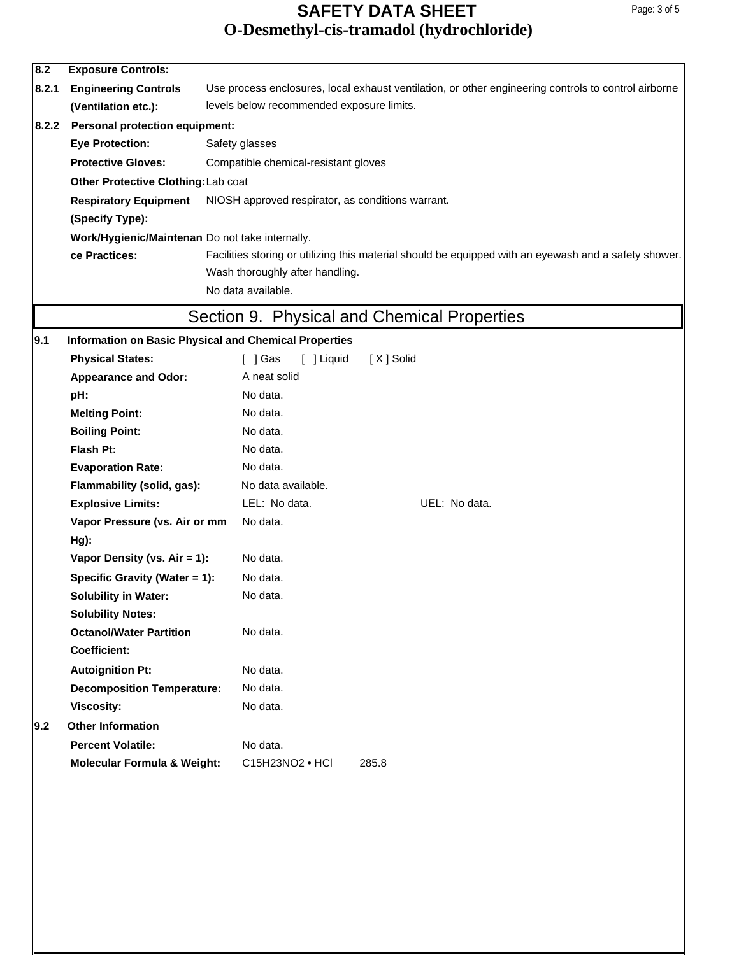| 8.2   | <b>Exposure Controls:</b>                                                                                              |                                                                                                      |  |  |  |  |  |
|-------|------------------------------------------------------------------------------------------------------------------------|------------------------------------------------------------------------------------------------------|--|--|--|--|--|
| 8.2.1 | <b>Engineering Controls</b>                                                                                            | Use process enclosures, local exhaust ventilation, or other engineering controls to control airborne |  |  |  |  |  |
|       | (Ventilation etc.):                                                                                                    | levels below recommended exposure limits.                                                            |  |  |  |  |  |
| 8.2.2 | <b>Personal protection equipment:</b>                                                                                  |                                                                                                      |  |  |  |  |  |
|       | <b>Eye Protection:</b>                                                                                                 | Safety glasses                                                                                       |  |  |  |  |  |
|       | <b>Protective Gloves:</b>                                                                                              | Compatible chemical-resistant gloves                                                                 |  |  |  |  |  |
|       | Other Protective Clothing: Lab coat                                                                                    |                                                                                                      |  |  |  |  |  |
|       | <b>Respiratory Equipment</b>                                                                                           | NIOSH approved respirator, as conditions warrant.                                                    |  |  |  |  |  |
|       | (Specify Type):                                                                                                        |                                                                                                      |  |  |  |  |  |
|       | Work/Hygienic/Maintenan Do not take internally.                                                                        |                                                                                                      |  |  |  |  |  |
|       | Facilities storing or utilizing this material should be equipped with an eyewash and a safety shower.<br>ce Practices: |                                                                                                      |  |  |  |  |  |
|       |                                                                                                                        | Wash thoroughly after handling.                                                                      |  |  |  |  |  |
|       |                                                                                                                        | No data available.                                                                                   |  |  |  |  |  |
|       |                                                                                                                        |                                                                                                      |  |  |  |  |  |
|       |                                                                                                                        | Section 9. Physical and Chemical Properties                                                          |  |  |  |  |  |
| 9.1   | <b>Information on Basic Physical and Chemical Properties</b>                                                           |                                                                                                      |  |  |  |  |  |
|       | <b>Physical States:</b>                                                                                                | [ ] Gas<br>[ ] Liquid<br>[X] Solid                                                                   |  |  |  |  |  |
|       | <b>Appearance and Odor:</b>                                                                                            | A neat solid                                                                                         |  |  |  |  |  |
|       | pH:                                                                                                                    | No data.                                                                                             |  |  |  |  |  |
|       | <b>Melting Point:</b>                                                                                                  | No data.                                                                                             |  |  |  |  |  |
|       | <b>Boiling Point:</b>                                                                                                  | No data.                                                                                             |  |  |  |  |  |
|       | Flash Pt:                                                                                                              | No data.                                                                                             |  |  |  |  |  |
|       | <b>Evaporation Rate:</b>                                                                                               | No data.                                                                                             |  |  |  |  |  |
|       | Flammability (solid, gas):                                                                                             | No data available.                                                                                   |  |  |  |  |  |
|       | <b>Explosive Limits:</b>                                                                                               | LEL: No data.<br>UEL: No data.                                                                       |  |  |  |  |  |
|       | Vapor Pressure (vs. Air or mm                                                                                          | No data.                                                                                             |  |  |  |  |  |
|       | $Hg$ :                                                                                                                 | No data.                                                                                             |  |  |  |  |  |
|       | Vapor Density (vs. Air = 1):                                                                                           |                                                                                                      |  |  |  |  |  |
|       | Specific Gravity (Water = 1):                                                                                          | No data.                                                                                             |  |  |  |  |  |
|       | <b>Solubility in Water:</b>                                                                                            | No data.                                                                                             |  |  |  |  |  |
|       | <b>Solubility Notes:</b><br><b>Octanol/Water Partition</b>                                                             | No data.                                                                                             |  |  |  |  |  |
|       | <b>Coefficient:</b>                                                                                                    |                                                                                                      |  |  |  |  |  |
|       | <b>Autoignition Pt:</b>                                                                                                | No data.                                                                                             |  |  |  |  |  |
|       | <b>Decomposition Temperature:</b>                                                                                      | No data.                                                                                             |  |  |  |  |  |
|       | <b>Viscosity:</b>                                                                                                      | No data.                                                                                             |  |  |  |  |  |
| 9.2   | <b>Other Information</b>                                                                                               |                                                                                                      |  |  |  |  |  |
|       | <b>Percent Volatile:</b>                                                                                               | No data.                                                                                             |  |  |  |  |  |
|       |                                                                                                                        | C15H23NO2 • HCI<br>285.8                                                                             |  |  |  |  |  |
|       | <b>Molecular Formula &amp; Weight:</b>                                                                                 |                                                                                                      |  |  |  |  |  |
|       |                                                                                                                        |                                                                                                      |  |  |  |  |  |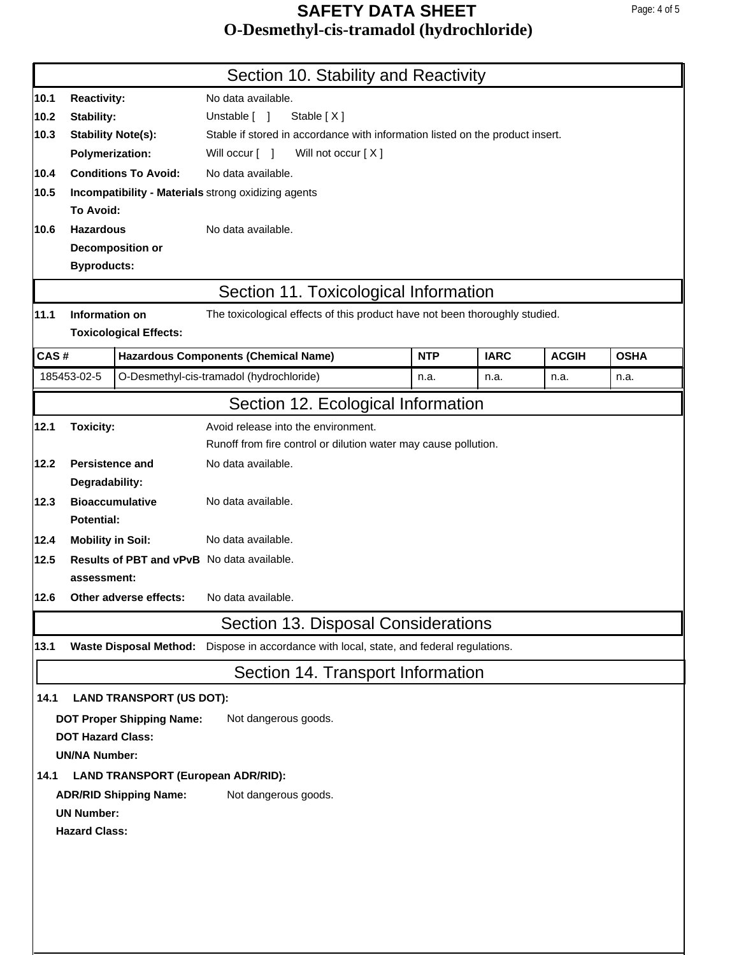|      |                                                     |                                  | Section 10. Stability and Reactivity                                                     |            |             |              |             |  |  |
|------|-----------------------------------------------------|----------------------------------|------------------------------------------------------------------------------------------|------------|-------------|--------------|-------------|--|--|
| 10.1 | <b>Reactivity:</b>                                  |                                  | No data available.                                                                       |            |             |              |             |  |  |
| 10.2 | <b>Stability:</b>                                   |                                  | Unstable [ ]<br>Stable [X]                                                               |            |             |              |             |  |  |
| 10.3 | <b>Stability Note(s):</b>                           |                                  | Stable if stored in accordance with information listed on the product insert.            |            |             |              |             |  |  |
|      | <b>Polymerization:</b>                              |                                  | Will not occur [X]<br>Will occur [ ]                                                     |            |             |              |             |  |  |
| 10.4 | <b>Conditions To Avoid:</b>                         |                                  | No data available.                                                                       |            |             |              |             |  |  |
| 10.5 | Incompatibility - Materials strong oxidizing agents |                                  |                                                                                          |            |             |              |             |  |  |
|      | To Avoid:                                           |                                  |                                                                                          |            |             |              |             |  |  |
| 10.6 | <b>Hazardous</b>                                    |                                  | No data available.                                                                       |            |             |              |             |  |  |
|      | Decomposition or                                    |                                  |                                                                                          |            |             |              |             |  |  |
|      | <b>Byproducts:</b>                                  |                                  |                                                                                          |            |             |              |             |  |  |
|      |                                                     |                                  | Section 11. Toxicological Information                                                    |            |             |              |             |  |  |
| 11.1 | Information on                                      |                                  | The toxicological effects of this product have not been thoroughly studied.              |            |             |              |             |  |  |
|      |                                                     | <b>Toxicological Effects:</b>    |                                                                                          |            |             |              |             |  |  |
|      | CAS#                                                |                                  | <b>Hazardous Components (Chemical Name)</b>                                              | <b>NTP</b> | <b>IARC</b> | <b>ACGIH</b> | <b>OSHA</b> |  |  |
|      | 185453-02-5                                         |                                  | O-Desmethyl-cis-tramadol (hydrochloride)                                                 | n.a.       | n.a.        | n.a.         | n.a.        |  |  |
|      |                                                     |                                  | Section 12. Ecological Information                                                       |            |             |              |             |  |  |
| 12.1 | <b>Toxicity:</b>                                    |                                  | Avoid release into the environment.                                                      |            |             |              |             |  |  |
|      |                                                     |                                  | Runoff from fire control or dilution water may cause pollution.                          |            |             |              |             |  |  |
| 12.2 | Persistence and                                     |                                  | No data available.                                                                       |            |             |              |             |  |  |
|      | Degradability:                                      |                                  |                                                                                          |            |             |              |             |  |  |
| 12.3 | <b>Bioaccumulative</b>                              |                                  | No data available.                                                                       |            |             |              |             |  |  |
|      | Potential:                                          |                                  |                                                                                          |            |             |              |             |  |  |
| 12.4 | <b>Mobility in Soil:</b>                            |                                  | No data available.                                                                       |            |             |              |             |  |  |
| 12.5 |                                                     |                                  | <b>Results of PBT and vPvB</b> No data available.                                        |            |             |              |             |  |  |
|      | assessment:                                         |                                  |                                                                                          |            |             |              |             |  |  |
| 12.6 |                                                     | Other adverse effects:           | No data available.                                                                       |            |             |              |             |  |  |
|      |                                                     |                                  | Section 13. Disposal Considerations                                                      |            |             |              |             |  |  |
| 13.1 |                                                     |                                  | Waste Disposal Method: Dispose in accordance with local, state, and federal regulations. |            |             |              |             |  |  |
|      |                                                     |                                  | Section 14. Transport Information                                                        |            |             |              |             |  |  |
| 14.1 |                                                     | <b>LAND TRANSPORT (US DOT):</b>  |                                                                                          |            |             |              |             |  |  |
|      |                                                     | <b>DOT Proper Shipping Name:</b> | Not dangerous goods.                                                                     |            |             |              |             |  |  |
|      | <b>DOT Hazard Class:</b>                            |                                  |                                                                                          |            |             |              |             |  |  |
|      | <b>UN/NA Number:</b>                                |                                  |                                                                                          |            |             |              |             |  |  |
| 14.1 |                                                     |                                  | <b>LAND TRANSPORT (European ADR/RID):</b>                                                |            |             |              |             |  |  |
|      |                                                     | <b>ADR/RID Shipping Name:</b>    | Not dangerous goods.                                                                     |            |             |              |             |  |  |
|      | <b>UN Number:</b>                                   |                                  |                                                                                          |            |             |              |             |  |  |
|      | <b>Hazard Class:</b>                                |                                  |                                                                                          |            |             |              |             |  |  |
|      |                                                     |                                  |                                                                                          |            |             |              |             |  |  |
|      |                                                     |                                  |                                                                                          |            |             |              |             |  |  |
|      |                                                     |                                  |                                                                                          |            |             |              |             |  |  |
|      |                                                     |                                  |                                                                                          |            |             |              |             |  |  |
|      |                                                     |                                  |                                                                                          |            |             |              |             |  |  |